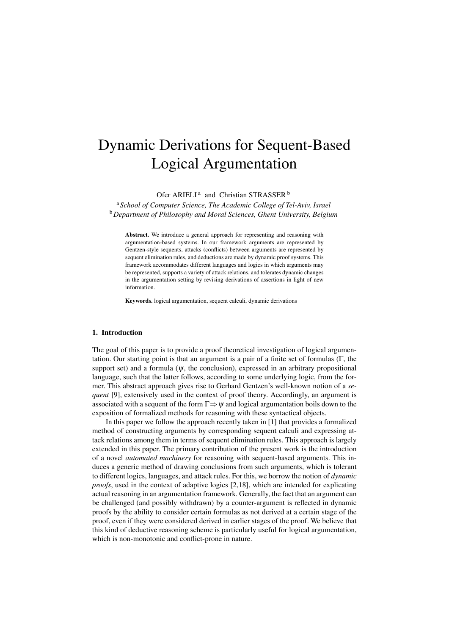# Dynamic Derivations for Sequent-Based Logical Argumentation

Ofer ARIELI<sup>a</sup> and Christian STRASSER<sup>b</sup>

<sup>a</sup> *School of Computer Science, The Academic College of Tel-Aviv, Israel* <sup>b</sup>*Department of Philosophy and Moral Sciences, Ghent University, Belgium*

Abstract. We introduce a general approach for representing and reasoning with argumentation-based systems. In our framework arguments are represented by Gentzen-style sequents, attacks (conflicts) between arguments are represented by sequent elimination rules, and deductions are made by dynamic proof systems. This framework accommodates different languages and logics in which arguments may be represented, supports a variety of attack relations, and tolerates dynamic changes in the argumentation setting by revising derivations of assertions in light of new information.

Keywords. logical argumentation, sequent calculi, dynamic derivations

## 1. Introduction

The goal of this paper is to provide a proof theoretical investigation of logical argumentation. Our starting point is that an argument is a pair of a finite set of formulas (Γ, the support set) and a formula ( $\psi$ , the conclusion), expressed in an arbitrary propositional language, such that the latter follows, according to some underlying logic, from the former. This abstract approach gives rise to Gerhard Gentzen's well-known notion of a *sequent* [9], extensively used in the context of proof theory. Accordingly, an argument is associated with a sequent of the form Γ*⇒*<sup>ψ</sup> and logical argumentation boils down to the exposition of formalized methods for reasoning with these syntactical objects.

In this paper we follow the approach recently taken in [1] that provides a formalized method of constructing arguments by corresponding sequent calculi and expressing attack relations among them in terms of sequent elimination rules. This approach is largely extended in this paper. The primary contribution of the present work is the introduction of a novel *automated machinery* for reasoning with sequent-based arguments. This induces a generic method of drawing conclusions from such arguments, which is tolerant to different logics, languages, and attack rules. For this, we borrow the notion of *dynamic proofs*, used in the context of adaptive logics [2,18], which are intended for explicating actual reasoning in an argumentation framework. Generally, the fact that an argument can be challenged (and possibly withdrawn) by a counter-argument is reflected in dynamic proofs by the ability to consider certain formulas as not derived at a certain stage of the proof, even if they were considered derived in earlier stages of the proof. We believe that this kind of deductive reasoning scheme is particularly useful for logical argumentation, which is non-monotonic and conflict-prone in nature.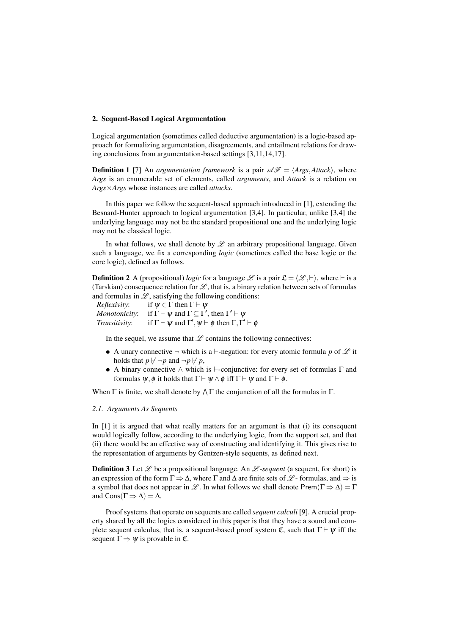## 2. Sequent-Based Logical Argumentation

Logical argumentation (sometimes called deductive argumentation) is a logic-based approach for formalizing argumentation, disagreements, and entailment relations for drawing conclusions from argumentation-based settings [3,11,14,17].

**Definition 1** [7] An *argumentation framework* is a pair  $\mathscr{AF} = \langle \text{Args}, \text{Attack} \rangle$ , where *Args* is an enumerable set of elements, called *arguments*, and *Attack* is a relation on *Args×Args* whose instances are called *attacks*.

In this paper we follow the sequent-based approach introduced in [1], extending the Besnard-Hunter approach to logical argumentation [3,4]. In particular, unlike [3,4] the underlying language may not be the standard propositional one and the underlying logic may not be classical logic.

In what follows, we shall denote by  $L$  an arbitrary propositional language. Given such a language, we fix a corresponding *logic* (sometimes called the base logic or the core logic), defined as follows.

**Definition 2** A (propositional) *logic* for a language  $\mathcal{L}$  is a pair  $\mathcal{L} = \langle \mathcal{L}, \vdash \rangle$ , where  $\vdash$  is a (Tarskian) consequence relation for  $\mathscr{L}$ , that is, a binary relation between sets of formulas and formulas in  $\mathscr{L}$ , satisfying the following conditions:

*Reflexivity*: if  $\psi \in \Gamma$  then  $\Gamma \vdash \psi$ *Monotonicity*: if  $\Gamma \vdash \psi$  and  $\Gamma \subseteq \Gamma'$ , then  $\Gamma' \vdash \psi$ *Transitivity*: if  $\Gamma \vdash \psi$  and  $\Gamma', \psi \vdash \phi$  then  $\Gamma, \Gamma' \vdash \phi$ 

In the sequel, we assume that  $\mathscr L$  contains the following connectives:

- *•* A unary connective *¬* which is a *⊢*-negation: for every atomic formula *p* of *L* it holds that  $p \nvdash \neg p$  and  $\neg p \nvdash p$ ,
- *•* A binary connective *∧* which is *⊢*-conjunctive: for every set of formulas Γ and formulas  $\psi$ ,  $\phi$  it holds that  $\Gamma \vdash \psi \land \phi$  iff  $\Gamma \vdash \psi$  and  $\Gamma \vdash \phi$ .

When  $\Gamma$  is finite, we shall denote by  $\Lambda \Gamma$  the conjunction of all the formulas in  $\Gamma$ .

#### *2.1. Arguments As Sequents*

In [1] it is argued that what really matters for an argument is that (i) its consequent would logically follow, according to the underlying logic, from the support set, and that (ii) there would be an effective way of constructing and identifying it. This gives rise to the representation of arguments by Gentzen-style sequents, as defined next.

**Definition 3** Let  $\mathscr L$  be a propositional language. An  $\mathscr L$ -*sequent* (a sequent, for short) is an expression of the form  $\Gamma \Rightarrow \Delta$ , where  $\Gamma$  and  $\Delta$  are finite sets of  $\mathscr{L}$ -formulas, and  $\Rightarrow$  is a symbol that does not appear in *L*. In what follows we shall denote Prem( $\Gamma \Rightarrow \Delta$ ) = Γ and  $Cons(\Gamma \Rightarrow \Delta) = \Delta$ .

Proof systems that operate on sequents are called *sequent calculi* [9]. A crucial property shared by all the logics considered in this paper is that they have a sound and complete sequent calculus, that is, a sequent-based proof system  $\mathfrak{C}$ , such that  $\Gamma \vdash \psi$  iff the sequent  $\Gamma \Rightarrow \psi$  is provable in  $\mathfrak{C}$ .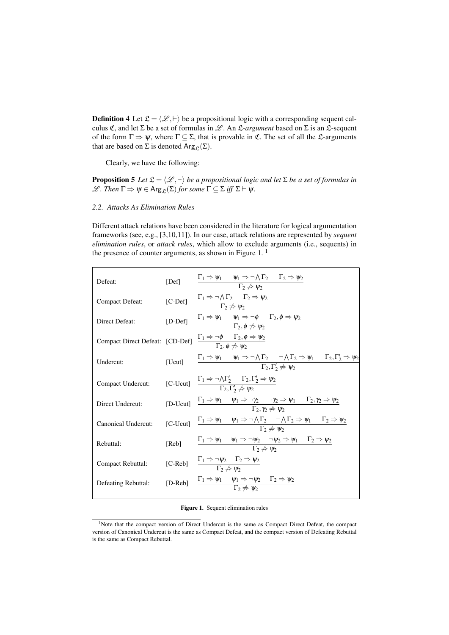**Definition 4** Let  $\mathcal{L} = \langle \mathcal{L}, \vdash \rangle$  be a propositional logic with a corresponding sequent calculus C, and let Σ be a set of formulas in *L* . An L-*argument* based on Σ is an L-sequent of the form  $\Gamma \Rightarrow \psi$ , where  $\Gamma \subseteq \Sigma$ , that is provable in  $\mathfrak{C}$ . The set of all the  $\mathfrak{L}$ -arguments that are based on  $\Sigma$  is denoted Arg<sub>c</sub>( $\Sigma$ ).

Clearly, we have the following:

**Proposition 5** *Let*  $\mathfrak{L} = \langle \mathcal{L}, \vdash \rangle$  *be a propositional logic and let*  $\Sigma$  *be a set of formulas in*  $\mathscr{L}$ *. Then*  $\Gamma \Rightarrow \psi \in \text{Arg}_{\mathfrak{L}}(\Sigma)$  *for some*  $\Gamma \subseteq \Sigma$  *iff*  $\Sigma \vdash \psi$ *.* 

## *2.2. Attacks As Elimination Rules*

Different attack relations have been considered in the literature for logical argumentation frameworks (see, e.g., [3,10,11]). In our case, attack relations are represented by *sequent elimination rules*, or *attack rules*, which allow to exclude arguments (i.e., sequents) in the presence of counter arguments, as shown in Figure 1.<sup>1</sup>

| Defeat:                                                                                                                    | [Def] $\frac{\Gamma_1 \Rightarrow \psi_1 \quad \psi_1 \Rightarrow \neg \wedge \Gamma_2 \quad \Gamma_2 \Rightarrow \psi_2}{\Gamma_2 \not\Rightarrow \psi_2}$                                                                         |
|----------------------------------------------------------------------------------------------------------------------------|-------------------------------------------------------------------------------------------------------------------------------------------------------------------------------------------------------------------------------------|
|                                                                                                                            | Compact Defeat: $[C\text{-Def}]$ $\frac{\Gamma_1 \Rightarrow \neg \bigwedge \Gamma_2 \qquad \Gamma_2 \Rightarrow \psi_2}{\Gamma_2 \not\Rightarrow \psi_2}$                                                                          |
| Direct Defeat:                                                                                                             | [D-Def] $\frac{\Gamma_1 \Rightarrow \psi_1 \quad \psi_1 \Rightarrow \neg \phi \quad \Gamma_2, \phi \Rightarrow \psi_2}{\Gamma_2, \phi \not\Rightarrow \psi_2}$                                                                      |
|                                                                                                                            | Compact Direct Defeat: [CD-Def] $\frac{\Gamma_1 \Rightarrow \neg \phi \quad \Gamma_2, \phi \Rightarrow \psi_2}{\Gamma_2, \phi \not\Rightarrow \psi_2}$                                                                              |
| Undercut:                                                                                                                  | [Ucut] $\Gamma_1 \Rightarrow \psi_1 \quad \psi_1 \Rightarrow \neg \wedge \Gamma_2 \quad \neg \wedge \Gamma_2 \Rightarrow \psi_1 \quad \Gamma_2, \Gamma'_2 \Rightarrow \psi_2$<br>$\Gamma_2, \Gamma'_2 \not\Rightarrow \psi_2$       |
|                                                                                                                            | Compact Undercut: $[C\text{-}Ucut]$ $\frac{\Gamma_1 \Rightarrow \neg \wedge \Gamma'_2 \qquad \Gamma_2, \Gamma'_2 \Rightarrow \psi_2}{\Gamma_2, \Gamma'_2 \not\Rightarrow \psi_2}$                                                   |
| Direct Undercut:                                                                                                           | [D-Ucut] $\frac{\Gamma_1 \Rightarrow \psi_1 \quad \psi_1 \Rightarrow \neg \gamma_2 \quad \neg \gamma_2 \Rightarrow \psi_1 \quad \Gamma_2, \gamma_2 \Rightarrow \psi_2}{\Gamma_2, \gamma_2 \not\Rightarrow \psi_2}$                  |
|                                                                                                                            | Canonical Undercut: $[C$ -Ucut] $\frac{\Gamma_1 \Rightarrow \psi_1 \quad \psi_1 \Rightarrow \neg \wedge \Gamma_2 \quad \neg \wedge \Gamma_2 \Rightarrow \psi_1 \quad \Gamma_2 \Rightarrow \psi_2}{\Gamma_2 \not\Rightarrow \psi_2}$ |
| Rebuttal:                                                                                                                  | [Reb] $\frac{\Gamma_1 \Rightarrow \psi_1 \quad \psi_1 \Rightarrow \neg \psi_2 \quad \neg \psi_2 \Rightarrow \psi_1 \quad \Gamma_2 \Rightarrow \psi_2}{\Gamma_2 \not\Rightarrow \psi_2}$                                             |
| Compact Rebuttal: $[C-Reb]$ $\frac{1_1 \Rightarrow \neg \psi_2 \quad 1_2 \Rightarrow \psi_2}{\Gamma_2 \Rightarrow \psi_2}$ |                                                                                                                                                                                                                                     |
| Defeating Rebuttal:                                                                                                        | [D-Reb] $\frac{\Gamma_1 \Rightarrow \psi_1 \quad \psi_1 \Rightarrow \neg \psi_2 \quad \Gamma_2 \Rightarrow \psi_2}{\Gamma_2 \not\Rightarrow \psi_2}$                                                                                |
|                                                                                                                            |                                                                                                                                                                                                                                     |

Figure 1. Sequent elimination rules

<sup>&</sup>lt;sup>1</sup>Note that the compact version of Direct Undercut is the same as Compact Direct Defeat, the compact version of Canonical Undercut is the same as Compact Defeat, and the compact version of Defeating Rebuttal is the same as Compact Rebuttal.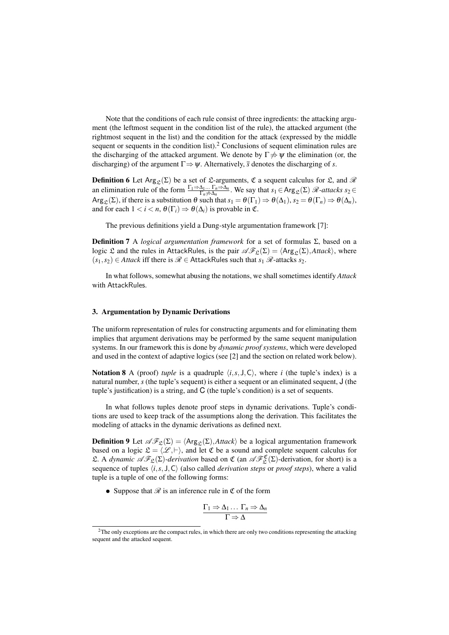Note that the conditions of each rule consist of three ingredients: the attacking argument (the leftmost sequent in the condition list of the rule), the attacked argument (the rightmost sequent in the list) and the condition for the attack (expressed by the middle sequent or sequents in the condition list).<sup>2</sup> Conclusions of sequent elimination rules are the discharging of the attacked argument. We denote by  $\Gamma \neq \Psi$  the elimination (or, the discharging) of the argument  $\Gamma \Rightarrow \psi$ . Alternatively, *s* denotes the discharging of *s*.

**Definition 6** Let Arg<sub>c</sub>( $\Sigma$ ) be a set of  $\mathcal{L}$ -arguments,  $\mathfrak{C}$  a sequent calculus for  $\mathcal{L}$ , and  $\mathcal{R}$ an elimination rule of the form  $\frac{\Gamma_1 \Rightarrow \Delta_1 \dots \Gamma_n \Rightarrow \Delta_n}{\Gamma_n \neq \Delta_n}$ . We say that  $s_1 \in \text{Arg}_{\mathcal{L}}(\Sigma)$  *R*-attacks  $s_2 \in$  $\text{Arg}_{\mathcal{L}}(\Sigma)$ , if there is a substitution  $\theta$  such that  $s_1 = \theta(\Gamma_1) \Rightarrow \theta(\Delta_1)$ ,  $s_2 = \theta(\Gamma_n) \Rightarrow \theta(\Delta_n)$ , and for each  $1 < i < n$ ,  $\theta(\Gamma_i) \Rightarrow \theta(\Delta_i)$  is provable in  $\mathfrak{C}$ .

The previous definitions yield a Dung-style argumentation framework [7]:

**Definition 7** A *logical argumentation framework* for a set of formulas Σ, based on a logic L and the rules in AttackRules, is the pair  $\mathscr{AF}_{\mathfrak{L}}(\Sigma) = \langle \text{Arg}_{\mathfrak{L}}(\Sigma), \text{Attack} \rangle$ , where  $(s_1, s_2)$  ∈ *Attack* iff there is  $\mathcal{R}$  ∈ AttackRules such that  $s_1$   $\mathcal{R}$ -attacks  $s_2$ .

In what follows, somewhat abusing the notations, we shall sometimes identify *Attack* with AttackRules.

# 3. Argumentation by Dynamic Derivations

The uniform representation of rules for constructing arguments and for eliminating them implies that argument derivations may be performed by the same sequent manipulation systems. In our framework this is done by *dynamic proof systems*, which were developed and used in the context of adaptive logics (see [2] and the section on related work below).

**Notation 8** A (proof) *tuple* is a quadruple  $\langle i, s, J, C \rangle$ , where *i* (the tuple's index) is a natural number, *s* (the tuple's sequent) is either a sequent or an eliminated sequent, J (the tuple's justification) is a string, and C (the tuple's condition) is a set of sequents.

In what follows tuples denote proof steps in dynamic derivations. Tuple's conditions are used to keep track of the assumptions along the derivation. This facilitates the modeling of attacks in the dynamic derivations as defined next.

**Definition 9** Let  $\mathscr{AF}_{\mathfrak{L}}(\Sigma) = \langle \text{Arg}_{\mathfrak{L}}(\Sigma), \text{Attack} \rangle$  be a logical argumentation framework based on a logic  $\mathfrak{L} = \langle \mathcal{L}, \vdash \rangle$ , and let  $\mathfrak{C}$  be a sound and complete sequent calculus for L. A *dynamic*  $\mathscr{AF}_{\mathfrak{L}}(\Sigma)$ *-derivation* based on  $\mathfrak{C}$  (an  $\mathscr{AF}^{\mathfrak{C}}_{\mathfrak{L}}(\Sigma)$ *-derivation*, for short) is a sequence of tuples  $\langle i, s, J, C \rangle$  (also called *derivation steps* or *proof steps*), where a valid tuple is a tuple of one of the following forms:

• Suppose that  $\mathscr R$  is an inference rule in  $\mathfrak C$  of the form

$$
\frac{\Gamma_1 \Rightarrow \Delta_1 \dots \Gamma_n \Rightarrow \Delta_n}{\Gamma \Rightarrow \Delta}
$$

<sup>&</sup>lt;sup>2</sup>The only exceptions are the compact rules, in which there are only two conditions representing the attacking sequent and the attacked sequent.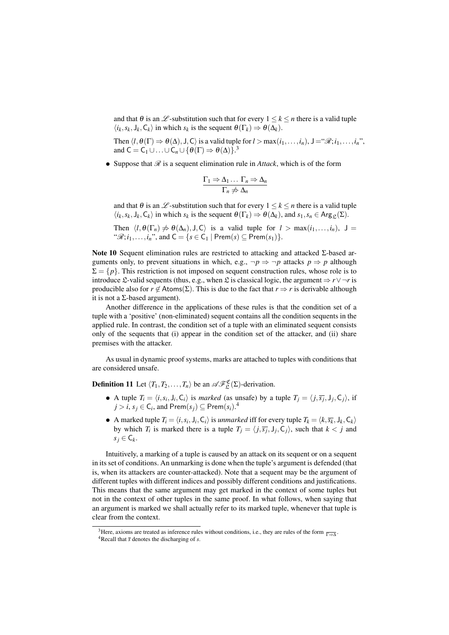and that  $\theta$  is an  $\mathcal{L}$ -substitution such that for every  $1 \leq k \leq n$  there is a valid tuple  $\langle i_k, s_k, J_k, C_k \rangle$  in which  $s_k$  is the sequent  $\theta(\Gamma_k) \Rightarrow \theta(\Delta_k)$ .

Then  $\langle l, \theta(\Gamma) \Rightarrow \theta(\Delta), J, C \rangle$  is a valid tuple for  $l > \max(i_1, \ldots, i_n)$ ,  $J = \mathscr{B}; i_1, \ldots, i_n$ ", and  $C = C_1 \cup ... \cup C_n \cup {\theta(\Gamma)} \Rightarrow \theta(\Delta)$ <sup>3</sup>.

*•* Suppose that *R* is a sequent elimination rule in *Attack*, which is of the form

$$
\frac{\Gamma_1 \Rightarrow \Delta_1 \dots \Gamma_n \Rightarrow \Delta_n}{\Gamma_n \not\Rightarrow \Delta_n}
$$

and that  $\theta$  is an  $\mathcal{L}$ -substitution such that for every  $1 \leq k \leq n$  there is a valid tuple  $\langle i_k, s_k, J_k, C_k \rangle$  in which  $s_k$  is the sequent  $\theta(\Gamma_k) \Rightarrow \theta(\Delta_k)$ , and  $s_1, s_n \in \text{Arg}_{\mathcal{L}}(\Sigma)$ .

Then  $\langle l, \theta(\Gamma_n) \neq \theta(\Delta_n), J, C \rangle$  is a valid tuple for  $l > \max(i_1, \ldots, i_n)$ ,  $J =$ " $\mathscr{R}: i_1, \ldots, i_n$ ", and  $C = \{ s \in C_1 \mid \text{Prem}(s) \subseteq \text{Prem}(s_1) \}.$ 

Note 10 Sequent elimination rules are restricted to attacking and attacked Σ-based arguments only, to prevent situations in which, e.g.,  $\neg p \Rightarrow \neg p$  attacks  $p \Rightarrow p$  although  $\Sigma = \{p\}$ . This restriction is not imposed on sequent construction rules, whose role is to introduce £-valid sequents (thus, e.g., when £ is classical logic, the argument  $\Rightarrow$  *r* $\lor$   $\neg$  *r* is producible also for  $r \notin$  Atoms( $\Sigma$ ). This is due to the fact that  $r \Rightarrow r$  is derivable although it is not a  $\Sigma$ -based argument).

Another difference in the applications of these rules is that the condition set of a tuple with a 'positive' (non-eliminated) sequent contains all the condition sequents in the applied rule. In contrast, the condition set of a tuple with an eliminated sequent consists only of the sequents that (i) appear in the condition set of the attacker, and (ii) share premises with the attacker.

As usual in dynamic proof systems, marks are attached to tuples with conditions that are considered unsafe.

**Definition 11** Let  $\langle T_1, T_2, \ldots, T_n \rangle$  be an  $\mathscr{AF}_{\mathfrak{L}}^{\mathfrak{C}}(\Sigma)$ -derivation.

- A tuple  $T_i = \langle i, s_i, J_i, C_i \rangle$  is *marked* (as unsafe) by a tuple  $T_j = \langle j, \overline{s_j}, J_j, C_j \rangle$ , if  $j > i$ ,  $s_j \in \mathsf{C}_i$ , and  $\mathsf{Prem}(s_j) \subseteq \mathsf{Prem}(s_i)$ .<sup>4</sup>
- A marked tuple  $T_i = \langle i, s_i, J_i, C_i \rangle$  is *unmarked* iff for every tuple  $T_k = \langle k, \overline{s_k}, J_k, C_k \rangle$ by which  $T_i$  is marked there is a tuple  $T_j = \langle j, \overline{s_j}, J_j, C_j \rangle$ , such that  $k < j$  and  $s_j \in \mathsf{C}_k$ .

Intuitively, a marking of a tuple is caused by an attack on its sequent or on a sequent in its set of conditions. An unmarking is done when the tuple's argument is defended (that is, when its attackers are counter-attacked). Note that a sequent may be the argument of different tuples with different indices and possibly different conditions and justifications. This means that the same argument may get marked in the context of some tuples but not in the context of other tuples in the same proof. In what follows, when saying that an argument is marked we shall actually refer to its marked tuple, whenever that tuple is clear from the context.

<sup>&</sup>lt;sup>3</sup>Here, axioms are treated as inference rules without conditions, i.e., they are rules of the form  $\frac{}{\Gamma \Rightarrow \Delta}$ .

 $4$ Recall that  $\bar{s}$  denotes the discharging of *s*.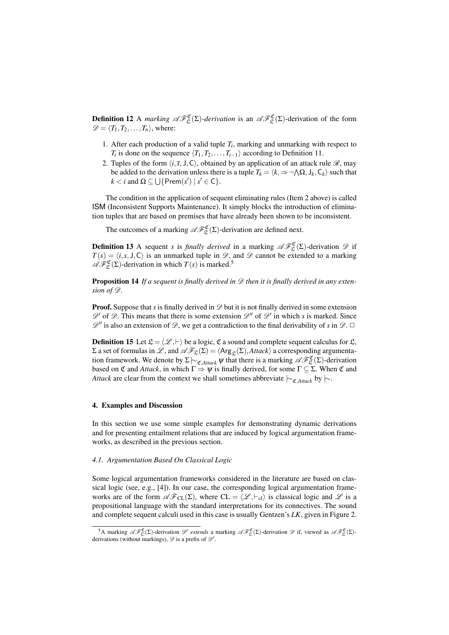**Definition 12** A *marking*  $\mathscr{AF}_{\mathfrak{L}}^{\mathfrak{C}}(\Sigma)$ -derivation is an  $\mathscr{AF}_{\mathfrak{L}}^{\mathfrak{C}}(\Sigma)$ -derivation of the form  $\mathscr{D} = \langle T_1, T_2, \ldots, T_n \rangle$ , where:

- 1. After each production of a valid tuple  $T_i$ , marking and unmarking with respect to *T*<sup>*i*</sup> is done on the sequence  $\langle T_1, T_2, \ldots, T_{i-1} \rangle$  according to Definition 11.
- 2. Tuples of the form  $\langle i, \overline{s}, J, C \rangle$ , obtained by an application of an attack rule  $\mathcal{R}$ , may be added to the derivation unless there is a tuple  $T_k = \langle k, \Rightarrow \neg \land \Omega, J_k, C_k \rangle$  such that  $k < i$  and  $\Omega \subseteq \bigcup \{ \text{Prem}(s') \mid s' \in \mathsf{C} \}.$

The condition in the application of sequent eliminating rules (Item 2 above) is called ISM (Inconsistent Supports Maintenance). It simply blocks the introduction of elimination tuples that are based on premises that have already been shown to be inconsistent.

The outcomes of a marking  $\mathscr{AF}^{\mathfrak{C}}_{\mathfrak{L}}(\Sigma)$ -derivation are defined next.

**Definition 13** A sequent *s* is *finally derived* in a marking  $\mathscr{AF}_{\mathfrak{L}}^{\mathfrak{C}}(\Sigma)$ -derivation  $\mathscr{D}$  if  $T(s) = \langle i, s, J, C \rangle$  is an unmarked tuple in  $\mathcal{D}$ , and  $\mathcal{D}$  cannot be extended to a marking  $\mathscr{A}\mathscr{F}_{\mathfrak{L}}^{\mathfrak{C}}(\Sigma)$ -derivation in which  $T(s)$  is marked.<sup>5</sup>

Proposition 14 *If a sequent is finally derived in D then it is finally derived in any extension of D.*

**Proof.** Suppose that *s* is finally derived in  $\mathscr{D}$  but it is not finally derived in some extension  $\mathscr{D}'$  of  $\mathscr{D}$ . This means that there is some extension  $\mathscr{D}''$  of  $\mathscr{D}'$  in which *s* is marked. Since  $\mathscr{D}$ <sup>*''*</sup> is also an extension of  $\mathscr{D}$ , we get a contradiction to the final derivability of *s* in  $\mathscr{D}$ .  $\Box$ 

**Definition 15** Let  $\mathcal{L} = \langle \mathcal{L}, \vdash \rangle$  be a logic,  $\mathcal{L}$  a sound and complete sequent calculus for  $\mathcal{L}$ ,  $\Sigma$  a set of formulas in  $\mathscr{L}$ , and  $\mathscr{AF}_\Sigma(\Sigma) = \langle \text{Arg}_{\Sigma}(\Sigma), \text{Attack} \rangle$  a corresponding argumentation framework. We denote by Σ*|∼*<sub>C</sub>*,Attack* ψ that there is a marking  $\mathscr{AF}^{\mathfrak{C}}_{\mathfrak{L}}(\Sigma)$ -derivation based on  $\mathfrak C$  and *Attack*, in which  $\Gamma \Rightarrow \psi$  is finally derived, for some  $\Gamma \subseteq \Sigma$ . When  $\mathfrak C$  and *Attack* are clear from the context we shall sometimes abbreviate  $\sim$ <sub>C</sub>*,Attack* by  $\sim$ .

## 4. Examples and Discussion

In this section we use some simple examples for demonstrating dynamic derivations and for presenting entailment relations that are induced by logical argumentation frameworks, as described in the previous section.

#### *4.1. Argumentation Based On Classical Logic*

Some logical argumentation frameworks considered in the literature are based on classical logic (see, e.g., [4]). In our case, the corresponding logical argumentation frameworks are of the form  $\mathscr{AF}_{CL}(\Sigma)$ , where  $CL = \langle \mathscr{L}, \vdash_{cl} \rangle$  is classical logic and  $\mathscr{L}$  is a propositional language with the standard interpretations for its connectives. The sound and complete sequent calculi used in this case is usually Gentzen's *LK*, given in Figure 2.

<sup>&</sup>lt;sup>5</sup>A marking  $\mathscr{AF}_{\mathfrak{L}}^{\mathfrak{C}}(\Sigma)$ -derivation  $\mathscr{D}'$  extends a marking  $\mathscr{AF}_{\mathfrak{L}}^{\mathfrak{C}}(\Sigma)$ -derivation  $\mathscr{D}$  if, viewed as  $\mathscr{AF}_{\mathfrak{L}}^{\mathfrak{C}}(\Sigma)$ derivations (without markings), *D* is a prefix of *D′* .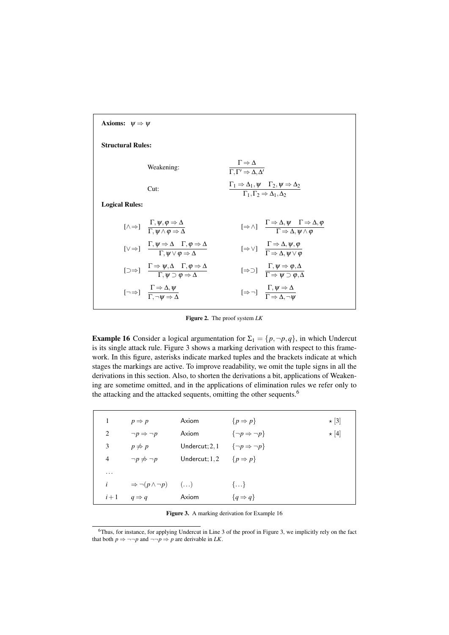| Axioms: $\psi \Rightarrow \psi$                                                                                                                               |                                                                                                                                           |  |  |  |  |  |
|---------------------------------------------------------------------------------------------------------------------------------------------------------------|-------------------------------------------------------------------------------------------------------------------------------------------|--|--|--|--|--|
| <b>Structural Rules:</b>                                                                                                                                      |                                                                                                                                           |  |  |  |  |  |
| Weakening:                                                                                                                                                    | $\Gamma \Rightarrow \Delta$<br>$\overline{\Gamma,\Gamma'}\Rightarrow\Delta,\Delta'$                                                       |  |  |  |  |  |
| Cut:                                                                                                                                                          | $\frac{\Gamma_1 \Rightarrow \Delta_1, \psi \quad \Gamma_2, \psi \Rightarrow \Delta_2}{\Gamma_1, \Gamma_2 \Rightarrow \Delta_1, \Delta_2}$ |  |  |  |  |  |
| <b>Logical Rules:</b>                                                                                                                                         |                                                                                                                                           |  |  |  |  |  |
| $[\wedge \Rightarrow]$ $\frac{1}{\Gamma}$ $\frac{\psi, \varphi \Rightarrow \Delta}{\psi \wedge \varphi \Rightarrow \Delta}$                                   | $[\Rightarrow \wedge]$ $\frac{1 \Rightarrow \Delta, \psi \quad 1 \Rightarrow \Delta, \phi}{\Gamma \Rightarrow \Delta, \psi \wedge \phi}$  |  |  |  |  |  |
| $[\vee \Rightarrow] \quad \frac{\Gamma, \psi \Rightarrow \Delta \quad \Gamma, \varphi \Rightarrow \Delta}{\Gamma \quad \psi \lor \varphi \Rightarrow \Delta}$ | $[\Rightarrow \vee]$ $\frac{1 \Rightarrow \Delta, \psi, \varphi}{\Gamma \Rightarrow \Delta, \psi \vee \varphi}$                           |  |  |  |  |  |
| $[\Box \Rightarrow] \quad \frac{1 \Rightarrow \psi, \Delta \quad 1, \phi \Rightarrow \Delta}{\Gamma \quad \psi \supset \phi \Rightarrow \Delta}$              | $[\Rightarrow]$ $\frac{1, \psi \Rightarrow \varphi, \Delta}{\Gamma \Rightarrow \psi \Rightarrow \varphi, \Delta}$                         |  |  |  |  |  |
| $\left[\neg \Rightarrow\right]$ $\frac{1 \Rightarrow \Delta, \psi}{\Gamma, \neg \psi \Rightarrow \Delta}$                                                     | $[\Rightarrow \neg]$ $\frac{1, \psi \Rightarrow \Delta}{\Gamma \Rightarrow \Delta \neg \psi}$                                             |  |  |  |  |  |
|                                                                                                                                                               |                                                                                                                                           |  |  |  |  |  |

Figure 2. The proof system *LK*

**Example 16** Consider a logical argumentation for  $\Sigma_1 = \{p, \neg p, q\}$ , in which Undercut is its single attack rule. Figure 3 shows a marking derivation with respect to this framework. In this figure, asterisks indicate marked tuples and the brackets indicate at which stages the markings are active. To improve readability, we omit the tuple signs in all the derivations in this section. Also, to shorten the derivations a bit, applications of Weakening are sometime omitted, and in the applications of elimination rules we refer only to the attacking and the attacked sequents, omitting the other sequents.<sup>6</sup>

| 1        | $p \Rightarrow p$                     | Axiom                                          | $\{p \Rightarrow p\}$           | $\star$ [3] |
|----------|---------------------------------------|------------------------------------------------|---------------------------------|-------------|
| 2        | $\neg p \Rightarrow \neg p$           | Axiom                                          | $\{\neg p \Rightarrow \neg p\}$ | $\star$ [4] |
| 3        | $p \not\Rightarrow p$                 | Undercut; 2, 1 $\{\neg p \Rightarrow \neg p\}$ |                                 |             |
| 4        | $\neg p \nRightarrow \neg p$          | Undercut; 1, 2 $\{p \Rightarrow p\}$           |                                 |             |
| $\cdots$ |                                       |                                                |                                 |             |
| i        | $\Rightarrow \neg(p \land \neg p)$ () |                                                | $\{\}$                          |             |
| $i+1$    | $q \Rightarrow q$                     | Axiom                                          | ${q \Rightarrow q}$             |             |

Figure 3. A marking derivation for Example 16

<sup>6</sup>Thus, for instance, for applying Undercut in Line 3 of the proof in Figure 3, we implicitly rely on the fact that both  $p \Rightarrow \neg \neg p$  and  $\neg \neg p \Rightarrow p$  are derivable in *LK*.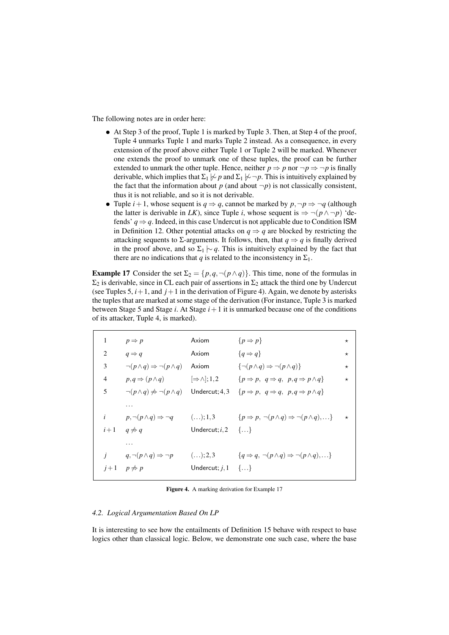The following notes are in order here:

- At Step 3 of the proof, Tuple 1 is marked by Tuple 3. Then, at Step 4 of the proof, Tuple 4 unmarks Tuple 1 and marks Tuple 2 instead. As a consequence, in every extension of the proof above either Tuple 1 or Tuple 2 will be marked. Whenever one extends the proof to unmark one of these tuples, the proof can be further extended to unmark the other tuple. Hence, neither  $p \Rightarrow p$  nor  $\neg p \Rightarrow \neg p$  is finally derivable, which implies that  $\Sigma_1 \not\sim p$  and  $\Sigma_1 \not\sim \neg p$ . This is intuitively explained by the fact that the information about  $p$  (and about  $\neg p$ ) is not classically consistent, thus it is not reliable, and so it is not derivable.
- Tuple  $i+1$ , whose sequent is  $q \Rightarrow q$ , cannot be marked by  $p, \neg p \Rightarrow \neg q$  (although the latter is derivable in *LK*), since Tuple *i*, whose sequent is  $\Rightarrow \neg(p \land \neg p)$  'defends' *q ⇒ q*. Indeed, in this case Undercut is not applicable due to Condition ISM in Definition 12. Other potential attacks on  $q \Rightarrow q$  are blocked by restricting the attacking sequents to  $\Sigma$ -arguments. It follows, then, that  $q \Rightarrow q$  is finally derived in the proof above, and so  $\Sigma_1 \sim q$ . This is intuitively explained by the fact that there are no indications that *q* is related to the inconsistency in  $\Sigma_1$ .

**Example 17** Consider the set  $\Sigma_2 = \{p, q, \neg(p \wedge q)\}\$ . This time, none of the formulas in  $\Sigma_2$  is derivable, since in CL each pair of assertions in  $\Sigma_2$  attack the third one by Undercut (see Tuples 5,  $i+1$ , and  $j+1$  in the derivation of Figure 4). Again, we denote by asterisks the tuples that are marked at some stage of the derivation (For instance, Tuple 3 is marked between Stage 5 and Stage  $i$ . At Stage  $i+1$  it is unmarked because one of the conditions of its attacker, Tuple 4, is marked).

| 1              | $p \Rightarrow p$                                                | Axiom                         | $\{p \Rightarrow p\}$                                                                                                     | $^\star$ |
|----------------|------------------------------------------------------------------|-------------------------------|---------------------------------------------------------------------------------------------------------------------------|----------|
| 2              | $q \Rightarrow q$                                                | Axiom                         | ${q \Rightarrow q}$                                                                                                       | $^\star$ |
| 3              | $\neg (p \land q) \Rightarrow \neg (p \land q)$                  | Axiom                         | $\{\neg (p \land q) \Rightarrow \neg (p \land q)\}\$                                                                      | $^\star$ |
| $\overline{4}$ | $p,q \Rightarrow (p \land q)$ $\Rightarrow \land \exists$ , 1, 2 |                               | $\{p \Rightarrow p, q \Rightarrow q, p, q \Rightarrow p \land q\}$                                                        | $^\star$ |
| 5              | $\neg (p \land q) \nRightarrow \neg (p \land q)$ Undercut; 4, 3  |                               | $\{p \Rightarrow p, q \Rightarrow q, p,q \Rightarrow p \land q\}$                                                         |          |
|                | .                                                                |                               |                                                                                                                           |          |
| $\dot{i}$      |                                                                  |                               | $p, \neg(p \land q) \Rightarrow \neg q$ (); 1,3 $\{p \Rightarrow p, \neg(p \land q) \Rightarrow \neg(p \land q), \dots\}$ | $\star$  |
|                | $i+1 \quad q \neq q$                                             | Undercut; $i, 2$ {}           |                                                                                                                           |          |
|                | .                                                                |                               |                                                                                                                           |          |
|                | $q, \neg(p \land q) \Rightarrow \neg p$ (); 2, 3                 |                               | $\{q \Rightarrow q, \neg(p \land q) \Rightarrow \neg(p \land q), \ldots\}$                                                |          |
|                | $j+1$ $p \neq p$                                                 | Undercut; $j, 1 \{ \ldots \}$ |                                                                                                                           |          |
|                |                                                                  |                               |                                                                                                                           |          |

Figure 4. A marking derivation for Example 17

#### *4.2. Logical Argumentation Based On LP*

It is interesting to see how the entailments of Definition 15 behave with respect to base logics other than classical logic. Below, we demonstrate one such case, where the base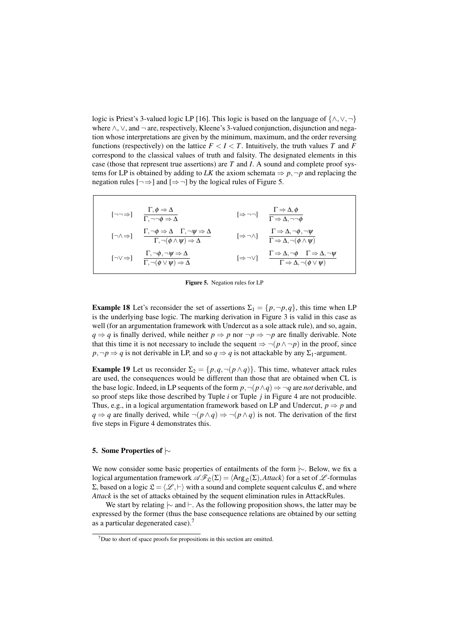logic is Priest's 3-valued logic LP [16]. This logic is based on the language of *{∧,∨,¬}* where *∧*, *∨*, and *¬* are, respectively, Kleene's 3-valued conjunction, disjunction and negation whose interpretations are given by the minimum, maximum, and the order reversing functions (respectively) on the lattice  $F < I < T$ . Intuitively, the truth values *T* and *F* correspond to the classical values of truth and falsity. The designated elements in this case (those that represent true assertions) are *T* and *I*. A sound and complete proof systems for LP is obtained by adding to *LK* the axiom schemata  $\Rightarrow$  *p*,  $\neg$ *p* and replacing the negation rules  $\lceil \rightarrow \rangle$  and  $\lceil \rightarrow \rightarrow \rangle$  by the logical rules of Figure 5.

$$
\begin{array}{llll}\n[\neg\neg\Rightarrow] & \frac{\Gamma, \phi \Rightarrow \Delta}{\Gamma, \neg\neg\phi \Rightarrow \Delta} & [\Rightarrow \neg\neg] & \frac{\Gamma \Rightarrow \Delta, \phi}{\Gamma \Rightarrow \Delta, \neg\neg\phi} \\
[\neg \wedge \Rightarrow] & \frac{\Gamma, \neg\phi \Rightarrow \Delta}{\Gamma, \neg(\phi \land \psi) \Rightarrow \Delta} & [\Rightarrow \neg \wedge] & \frac{\Gamma \Rightarrow \Delta, \neg\phi, \neg\psi}{\Gamma \Rightarrow \Delta, \neg(\phi \land \psi)} \\
[\neg \vee \Rightarrow] & \frac{\Gamma, \neg\phi, \neg\psi \Rightarrow \Delta}{\Gamma, \neg(\phi \lor \psi) \Rightarrow \Delta} & [\Rightarrow \neg \vee] & \frac{\Gamma \Rightarrow \Delta, \neg\phi, \Gamma \Rightarrow \Delta, \neg\psi}{\Gamma \Rightarrow \Delta, \neg(\phi \lor \psi)}\n\end{array}
$$

Figure 5. Negation rules for LP

**Example 18** Let's reconsider the set of assertions  $\Sigma_1 = \{p, \neg p, q\}$ , this time when LP is the underlying base logic. The marking derivation in Figure 3 is valid in this case as well (for an argumentation framework with Undercut as a sole attack rule), and so, again, *q*  $\Rightarrow$  *q* is finally derived, while neither *p*  $\Rightarrow$  *p* nor  $\neg$ *p*  $\Rightarrow$   $\neg$ *p* are finally derivable. Note that this time it is not necessary to include the sequent  $\Rightarrow \neg(p \land \neg p)$  in the proof, since  $p, \neg p \Rightarrow q$  is not derivable in LP, and so  $q \Rightarrow q$  is not attackable by any  $\Sigma_1$ -argument.

**Example 19** Let us reconsider  $\Sigma_2 = \{p, q, \neg(p \wedge q)\}\$ . This time, whatever attack rules are used, the consequences would be different than those that are obtained when CL is the base logic. Indeed, in LP sequents of the form  $p, \neg(p \land q) \Rightarrow \neg q$  are *not* derivable, and so proof steps like those described by Tuple *i* or Tuple *j* in Figure 4 are not producible. Thus, e.g., in a logical argumentation framework based on LP and Undercut,  $p \Rightarrow p$  and *q*  $\Rightarrow$  *q* are finally derived, while  $\neg$ (*p ∧q*)  $\Rightarrow$   $\neg$ (*p ∧q*) is not. The derivation of the first five steps in Figure 4 demonstrates this.

# 5. Some Properties of *|∼*

We now consider some basic properties of entailments of the form *|∼*. Below, we fix a logical argumentation framework  $\mathscr{AF}_{\mathfrak{L}}(\Sigma) = \langle \text{Arg}_{\mathfrak{L}}(\Sigma), \text{Attack} \rangle$  for a set of  $\mathscr{L}$ -formulas Σ, based on a logic  $\mathcal{L} = \langle \mathcal{L}, \vdash \rangle$  with a sound and complete sequent calculus **€**, and where *Attack* is the set of attacks obtained by the sequent elimination rules in AttackRules.

We start by relating *|∼* and *⊢*. As the following proposition shows, the latter may be expressed by the former (thus the base consequence relations are obtained by our setting as a particular degenerated case).<sup>7</sup>

 $7$ Due to short of space proofs for propositions in this section are omitted.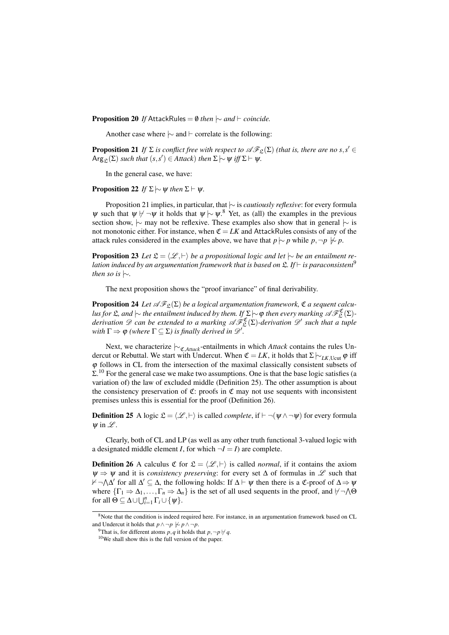**Proposition 20** If AttackRules =  $\emptyset$  *then*  $\sim$  *and*  $\vdash$  *coincide.* 

Another case where *|∼* and *⊢* correlate is the following:

**Proposition 21** *If*  $\Sigma$  *is conflict free with respect to*  $\mathscr{AF}_{\Sigma}(\Sigma)$  *(that is, there are no*  $s, s' \in$  $\mathsf{Arg}_{\mathfrak{L}}(\Sigma)$  *such that*  $(s, s') \in \mathit{Attack})$  *then*  $\Sigma \sim \psi$  *iff*  $\Sigma \vdash \psi$ *.* 

In the general case, we have:

**Proposition 22** *If*  $\Sigma \sim \psi$  *then*  $\Sigma \vdash \psi$ *.* 

Proposition 21 implies, in particular, that *|∼* is *cautiously reflexive*: for every formula  $\psi$  such that  $\psi$   $\psi$   $\neg$   $\psi$  it holds that  $\psi$   $\sim \psi$ .<sup>8</sup> Yet, as (all) the examples in the previous section show, *|∼* may not be reflexive. These examples also show that in general *|∼* is not monotonic either. For instance, when  $\mathfrak{C} = LK$  and AttackRules consists of any of the attack rules considered in the examples above, we have that  $p \sim p$  while  $p, \neg p \not\sim p$ .

**Proposition 23** *Let*  $\mathcal{L} = \langle \mathcal{L}, \vdash \rangle$  *be a propositional logic and let*  $\sim$  *be an entailment relation induced by an argumentation framework that is based on* L*. If ⊢ is paraconsistent*<sup>9</sup> *then so is |∼.*

The next proposition shows the "proof invariance" of final derivability.

**Proposition 24** Let  $\mathscr{F}_{\mathfrak{L}}(\Sigma)$  be a logical argumentation framework,  $\mathfrak{C}$  a sequent calcu- $\ell$ *lus for*  $\mathfrak{L}$ *, and*  $\vert\sim$  *the entailment induced by them. If*  $\Sigma$  $\vert\sim$   $\phi$  *then every marking A*  $\mathscr{F}_{\mathfrak{L}}^{\mathfrak{C}}(\Sigma)$ *derivation*  $\mathscr{D}$  *can be extended to a marking*  $\mathscr{AF}_{\mathfrak{L}}^{\mathfrak{C}}(\Sigma)$ -derivation  $\mathscr{D}'$  such that a tuple *with*  $\Gamma \Rightarrow \varphi$  *(where*  $\Gamma \subseteq \Sigma$ *) is finally derived in*  $\mathscr{D}'$ *.* 

Next, we characterize  $\sim$ <sub>C</sub><sub>*Attack*</sub>-entailments in which *Attack* contains the rules Undercut or Rebuttal. We start with Undercut. When  $\mathfrak{C} = LK$ , it holds that  $\Sigma \rightarrow_{LK, \text{Ucut}} \varphi$  iff φ follows in CL from the intersection of the maximal classically consistent subsets of  $\Sigma$ .<sup>10</sup> For the general case we make two assumptions. One is that the base logic satisfies (a variation of) the law of excluded middle (Definition 25). The other assumption is about the consistency preservation of  $\mathfrak{C}$ : proofs in  $\mathfrak{C}$  may not use sequents with inconsistent premises unless this is essential for the proof (Definition 26).

**Definition 25** A logic  $\mathcal{L} = \langle \mathcal{L}, \vdash \rangle$  is called *complete*, if  $\vdash \neg(\psi \land \neg \psi)$  for every formula <sup>ψ</sup> in *L* .

Clearly, both of CL and LP (as well as any other truth functional 3-valued logic with a designated middle element *I*, for which  $\neg I = I$  are complete.

**Definition 26** A calculus  $\mathfrak{C}$  for  $\mathfrak{L} = \langle \mathcal{L}, \vdash \rangle$  is called *normal*, if it contains the axiom <sup>ψ</sup> *⇒* <sup>ψ</sup> and it is *consistency preserving*: for every set ∆ of formulas in *L* such that 0*¬* ∧ ∆ *′* for all ∆ *′ ⊆* ∆, the following holds: If ∆ *⊢* <sup>ψ</sup> then there is a C-proof of ∆*⇒*<sup>ψ</sup> where  $\{\Gamma_1 \Rightarrow \Delta_1, \ldots, \Gamma_n \Rightarrow \Delta_n\}$  is the set of all used sequents in the proof, and  $\nvdash \neg \land \Theta$ for all  $\Theta \subseteq \Delta \cup \bigcup_{i=1}^{n} \Gamma_i \cup \{\psi\}.$ 

<sup>&</sup>lt;sup>8</sup>Note that the condition is indeed required here. For instance, in an argumentation framework based on CL and Undercut it holds that  $p \land \neg p \not\sim p \land \neg p$ .

 $^{9}$ That is, for different atoms *p*, *q* it holds that *p*,  $\neg p \nvdash q$ .

<sup>10</sup>We shall show this is the full version of the paper.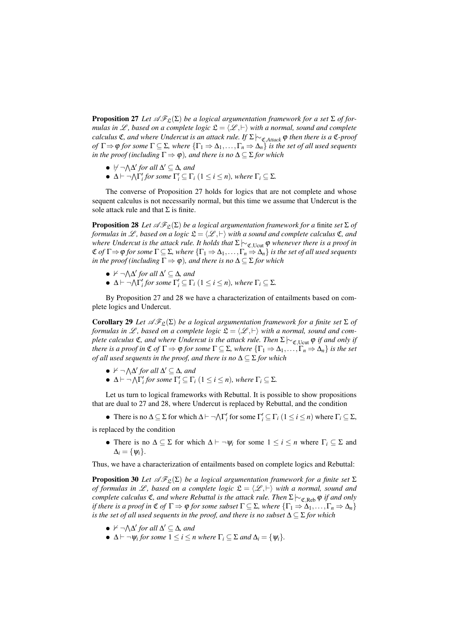**Proposition 27** *Let*  $\mathscr{AF}_{\mathfrak{L}}(\Sigma)$  *be a logical argumentation framework for a set*  $\Sigma$  *of formulas in L*, based on a complete logic  $\mathfrak{L} = \langle \mathcal{L}, \vdash \rangle$  with a normal, sound and complete *calculus* **C***, and where Undercut is an attack rule. If*  $\Sigma \vdash c$ <sub>*CAttack* **φ** *then there is a* **C***-proof*</sub> *of*  $\Gamma \Rightarrow \varphi$  *for some*  $\Gamma \subseteq \Sigma$ *, where*  $\{\Gamma_1 \Rightarrow \Delta_1, \ldots, \Gamma_n \Rightarrow \Delta_n\}$  *is the set of all used sequents in the proof (including*  $\Gamma \Rightarrow \varphi$ )*, and there is no*  $\Delta \subseteq \Sigma$  *for which* 

- *• ̸⊢ ¬*<sup>∧</sup> ∆ *′ for all* ∆ *′ ⊆* ∆*, and*
- $\Delta \vdash \neg \bigwedge \Gamma'_i$  *for some*  $\Gamma'_i \subseteq \Gamma_i$  ( $1 \leq i \leq n$ )*, where*  $\Gamma_i \subseteq \Sigma$ *.*

The converse of Proposition 27 holds for logics that are not complete and whose sequent calculus is not necessarily normal, but this time we assume that Undercut is the sole attack rule and that  $\Sigma$  is finite.

**Proposition 28** *Let*  $\mathscr{AF}_{\mathfrak{L}}(\Sigma)$  *be a logical argumentation framework for a finite set*  $\Sigma$  *of formulas in L*, based on a logic  $\mathfrak{L} = \langle \mathcal{L}, \vdash \rangle$  with a sound and complete calculus  $\mathfrak{C}$ *, and where Undercut is the attack rule. It holds that*  $\Sigma \sim \mathcal{C}$ <sub>*C,Ucut* φ *whenever there is a proof in*</sub>  $\mathfrak{C}$  *of*  $\Gamma \Rightarrow \varphi$  *for some*  $\Gamma \subseteq \Sigma$ *, where*  $\{\Gamma_1 \Rightarrow \Delta_1, \ldots, \Gamma_n \Rightarrow \Delta_n\}$  *is the set of all used sequents in the proof (including*  $\Gamma \Rightarrow \varphi$ )*, and there is no*  $\Delta \subseteq \Sigma$  *for which* 

- *•* 0 *¬* ∧ ∆ *′ for all* ∆ *′ ⊆* ∆*, and*
- $\Delta \vdash \neg \bigwedge \Gamma'_i$  for some  $\Gamma'_i \subseteq \Gamma_i$   $(1 \leq i \leq n)$ *, where*  $\Gamma_i \subseteq \Sigma$ *.*

By Proposition 27 and 28 we have a characterization of entailments based on complete logics and Undercut.

Corollary 29 *Let*  $\mathscr{AF}_{\mathfrak{L}}(\Sigma)$  *be a logical argumentation framework for a finite set*  $\Sigma$  *of formulas in*  $\mathscr{L}$ *, based on a complete logic*  $\mathfrak{L} = \langle \mathscr{L}, \vdash \rangle$  *with a normal, sound and complete calculus*  $\mathfrak{C}$ *, and where Undercut is the attack rule. Then*  $\Sigma \rightarrow_{\mathfrak{C}} \mathfrak{C}$  *u*<sub>cut</sub>  $\varphi$  *if and only if there is a proof in*  $\mathfrak{C}$  *of*  $\Gamma \Rightarrow \varphi$  *for some*  $\Gamma \subseteq \Sigma$ *, where*  $\{\Gamma_1 \Rightarrow \Delta_1, \ldots, \Gamma_n \Rightarrow \Delta_n\}$  *is the set of all used sequents in the proof, and there is no* ∆ *⊆* Σ *for which*

- *•* 0 *¬* ∧ ∆ *′ for all* ∆ *′ ⊆* ∆*, and*
- $\Delta \vdash \neg \bigwedge \Gamma'_i$  for some  $\Gamma'_i \subseteq \Gamma_i$   $(1 \leq i \leq n)$ *, where*  $\Gamma_i \subseteq \Sigma$ *.*

Let us turn to logical frameworks with Rebuttal. It is possible to show propositions that are dual to 27 and 28, where Undercut is replaced by Rebuttal, and the condition

• There is no  $\Delta \subseteq \Sigma$  for which  $\Delta \vdash \neg \wedge \Gamma'_i$  for some  $\Gamma'_i \subseteq \Gamma_i$   $(1 \leq i \leq n)$  where  $\Gamma_i \subseteq \Sigma$ ,

is replaced by the condition

• There is no  $\Delta \subseteq \Sigma$  for which  $\Delta \vdash \neg \psi_i$  for some  $1 \leq i \leq n$  where  $\Gamma_i \subseteq \Sigma$  and  $\Delta_i = \{\psi_i\}.$ 

Thus, we have a characterization of entailments based on complete logics and Rebuttal:

**Proposition 30** *Let*  $\mathscr{AF}_{\mathfrak{L}}(\Sigma)$  *be a logical argumentation framework for a finite set*  $\Sigma$ *of formulas in L*, based on a complete logic  $\mathfrak{L} = \langle \mathcal{L}, \vdash \rangle$  with a normal, sound and *complete calculus* **C***, and where Rebuttal is the attack rule. Then* Σ*|*∼<sub>*C,Reb*</sub>  $\varphi$  *if and only if there is a proof in*  $\mathfrak{C}$  *of*  $\Gamma \Rightarrow \varphi$  *for some subset*  $\Gamma \subseteq \Sigma$ *, where*  $\{\Gamma_1 \Rightarrow \Delta_1, \ldots, \Gamma_n \Rightarrow \Delta_n\}$ *is the set of all used sequents in the proof, and there is no subset* ∆ *⊆* Σ *for which*

- *•* 0 *¬* ∧ ∆ *′ for all* ∆ *′ ⊆* ∆*, and*
- $\bullet$   $\Delta$  *⊢*  $\neg$   $\psi$ *i for some*  $1 \leq i \leq n$  *where*  $\Gamma$ *i*  $\subseteq$   $\Sigma$  *and*  $\Delta$ *i* = { $\psi$ *i}.*